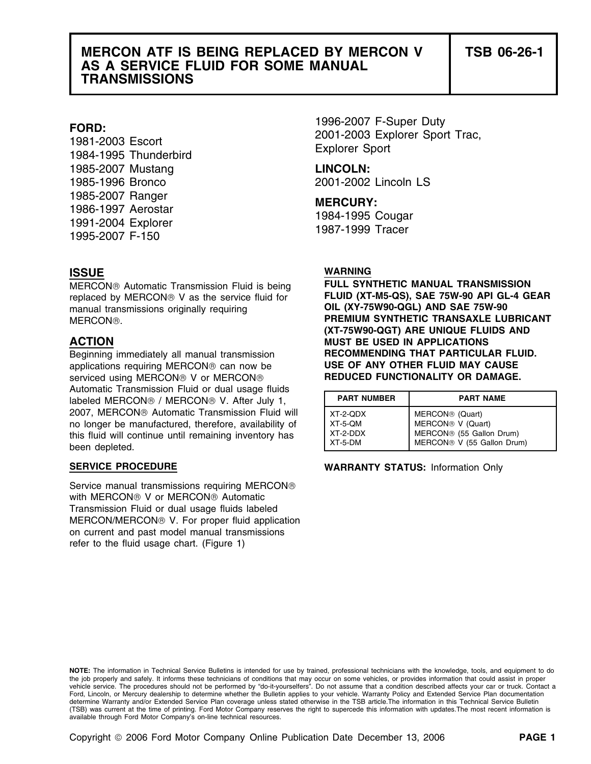# **MERCON ATF IS BEING REPLACED BY MERCON V TSB 06-26-1 AS A SERVICE FLUID FOR SOME MANUAL TRANSMISSIONS**

1985-2007 Mustang **LINCOLN:** 1985-1996 Bronco 2001-2002 Lincoln LS 1985-2007 Ranger **MERCURY:** 1986-1997 Aerostar 1984-1995 Cougar 1991-2004 Explorer 1987-1999 Tracer 1995-2007 F-150

replaced by MERCON® V as the service fluid for **FLUID (XT-M5-QS), SAE 75W-90 API GL**<br>**OIL (XY-75W90-QGL) AND SAE 75W-90** manual transmissions originally requiring

Beginning immediately all manual transmission **RECOMMENDING THAT PARTICULAR FLUID.**<br> **RECOMMENT AND THAT PARTICULAR FLUID MAY CAUSE** applications requiring MERCON® can now be **USE OF ANY OTHER FLUID MAY CAUSE**<br>serviced using MERCON® V or MERCON® **REDUCED FUNCTIONALITY OR DAMAGE.** serviced using MERCON<sup>®</sup> V or MERCON<sup>®</sup> Automatic Transmission Fluid or dual usage fluids labeled MERCON<sup>®</sup> / MERCON<sup>®</sup> V. After July 1, 2007, MERCON® Automatic Transmission Fluid will no longer be manufactured, therefore, availability of this fluid will continue until remaining inventory has been depleted.

Service manual transmissions requiring MERCON with MERCON® V or MERCON® Automatic Transmission Fluid or dual usage fluids labeled MERCON/MERCON® V. For proper fluid application on current and past model manual transmissions refer to the fluid usage chart. (Figure 1)

1996-2007 F-Super Duty **FORD:** 2001-2003 Explorer Sport Trac, 1981-2003 Escort Explorer Sport 1984-1995 Thunderbird

## **ISSUE WARNING**

**MERCON®** Automatic Transmission Fluid is being **FULL SYNTHETIC MANUAL TRANSMISSION**<br> **FELUID (XT-M5-QS), SAE 75W-90 API GL-4 GEAR** MERCON®. **PREMIUM SYNTHETIC TRANSAXLE LUBRICANT (XT-75W90-QGT) ARE UNIQUE FLUIDS AND ACTION MUST BE USED IN APPLICATIONS**

| <b>PART NUMBER</b> | <b>PART NAME</b>              |
|--------------------|-------------------------------|
| XT-2-QDX           | MERCON <sup>®</sup> (Quart)   |
| $XT-5-OM$          | MERCON <sup>®</sup> V (Quart) |
| $XT-2-DDX$         | MERCON® (55 Gallon Drum)      |
| XT-5-DM            | MERCON® V (55 Gallon Drum)    |

**SERVICE PROCEDURE WARRANTY STATUS:** Information Only

**NOTE:** The information in Technical Service Bulletins is intended for use by trained, professional technicians with the knowledge, tools, and equipment to do the job properly and safely. It informs these technicians of conditions that may occur on some vehicles, or provides information that could assist in proper vehicle service. The procedures should not be performed by "do-it-yourselfers". Do not assume that a condition described affects your car or truck. Contact a Ford, Lincoln, or Mercury dealership to determine whether the Bulletin applies to your vehicle. Warranty Policy and Extended Service Plan documentation determine Warranty and/or Extended Service Plan coverage unless stated otherwise in the TSB article.The information in this Technical Service Bulletin (TSB) was current at the time of printing. Ford Motor Company reserves the right to supercede this information with updates.The most recent information is available through Ford Motor Company's on-line technical resources.